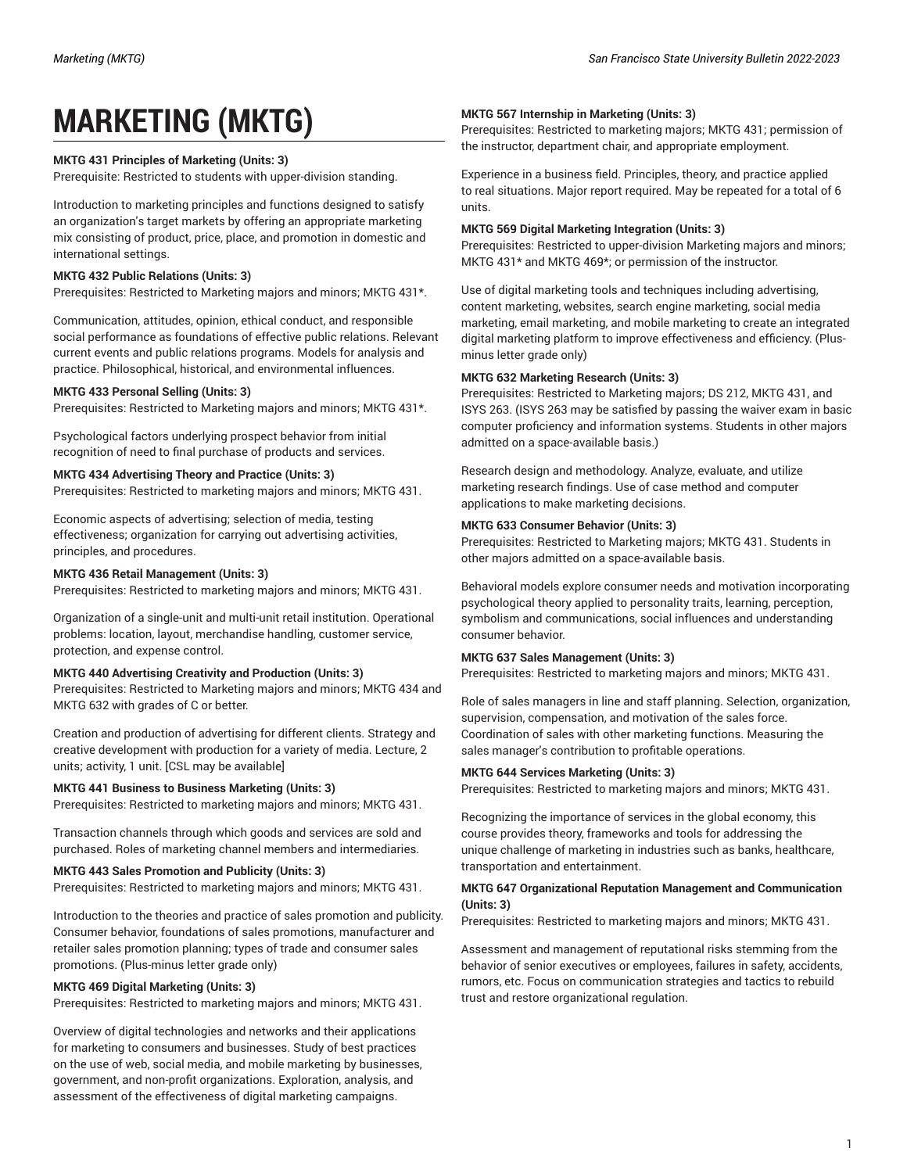# **MARKETING (MKTG)**

# **MKTG 431 Principles of Marketing (Units: 3)**

Prerequisite: Restricted to students with upper-division standing.

Introduction to marketing principles and functions designed to satisfy an organization's target markets by offering an appropriate marketing mix consisting of product, price, place, and promotion in domestic and international settings.

# **MKTG 432 Public Relations (Units: 3)**

Prerequisites: Restricted to Marketing majors and minors; MKTG 431\*.

Communication, attitudes, opinion, ethical conduct, and responsible social performance as foundations of effective public relations. Relevant current events and public relations programs. Models for analysis and practice. Philosophical, historical, and environmental influences.

## **MKTG 433 Personal Selling (Units: 3)**

Prerequisites: Restricted to Marketing majors and minors; MKTG 431\*.

Psychological factors underlying prospect behavior from initial recognition of need to final purchase of products and services.

## **MKTG 434 Advertising Theory and Practice (Units: 3)**

Prerequisites: Restricted to marketing majors and minors; MKTG 431.

Economic aspects of advertising; selection of media, testing effectiveness; organization for carrying out advertising activities, principles, and procedures.

## **MKTG 436 Retail Management (Units: 3)**

Prerequisites: Restricted to marketing majors and minors; MKTG 431.

Organization of a single-unit and multi-unit retail institution. Operational problems: location, layout, merchandise handling, customer service, protection, and expense control.

#### **MKTG 440 Advertising Creativity and Production (Units: 3)**

Prerequisites: Restricted to Marketing majors and minors; MKTG 434 and MKTG 632 with grades of C or better.

Creation and production of advertising for different clients. Strategy and creative development with production for a variety of media. Lecture, 2 units; activity, 1 unit. [CSL may be available]

#### **MKTG 441 Business to Business Marketing (Units: 3)**

Prerequisites: Restricted to marketing majors and minors; MKTG 431.

Transaction channels through which goods and services are sold and purchased. Roles of marketing channel members and intermediaries.

#### **MKTG 443 Sales Promotion and Publicity (Units: 3)**

Prerequisites: Restricted to marketing majors and minors; MKTG 431.

Introduction to the theories and practice of sales promotion and publicity. Consumer behavior, foundations of sales promotions, manufacturer and retailer sales promotion planning; types of trade and consumer sales promotions. (Plus-minus letter grade only)

# **MKTG 469 Digital Marketing (Units: 3)**

Prerequisites: Restricted to marketing majors and minors; MKTG 431.

Overview of digital technologies and networks and their applications for marketing to consumers and businesses. Study of best practices on the use of web, social media, and mobile marketing by businesses, government, and non-profit organizations. Exploration, analysis, and assessment of the effectiveness of digital marketing campaigns.

# **MKTG 567 Internship in Marketing (Units: 3)**

Prerequisites: Restricted to marketing majors; MKTG 431; permission of the instructor, department chair, and appropriate employment.

Experience in a business field. Principles, theory, and practice applied to real situations. Major report required. May be repeated for a total of 6 units.

#### **MKTG 569 Digital Marketing Integration (Units: 3)**

Prerequisites: Restricted to upper-division Marketing majors and minors; MKTG 431\* and MKTG 469\*; or permission of the instructor.

Use of digital marketing tools and techniques including advertising, content marketing, websites, search engine marketing, social media marketing, email marketing, and mobile marketing to create an integrated digital marketing platform to improve effectiveness and efficiency. (Plusminus letter grade only)

## **MKTG 632 Marketing Research (Units: 3)**

Prerequisites: Restricted to Marketing majors; DS 212, MKTG 431, and ISYS 263. (ISYS 263 may be satisfied by passing the waiver exam in basic computer proficiency and information systems. Students in other majors admitted on a space-available basis.)

Research design and methodology. Analyze, evaluate, and utilize marketing research findings. Use of case method and computer applications to make marketing decisions.

## **MKTG 633 Consumer Behavior (Units: 3)**

Prerequisites: Restricted to Marketing majors; MKTG 431. Students in other majors admitted on a space-available basis.

Behavioral models explore consumer needs and motivation incorporating psychological theory applied to personality traits, learning, perception, symbolism and communications, social influences and understanding consumer behavior.

## **MKTG 637 Sales Management (Units: 3)**

Prerequisites: Restricted to marketing majors and minors; MKTG 431.

Role of sales managers in line and staff planning. Selection, organization, supervision, compensation, and motivation of the sales force. Coordination of sales with other marketing functions. Measuring the sales manager's contribution to profitable operations.

#### **MKTG 644 Services Marketing (Units: 3)**

Prerequisites: Restricted to marketing majors and minors; MKTG 431.

Recognizing the importance of services in the global economy, this course provides theory, frameworks and tools for addressing the unique challenge of marketing in industries such as banks, healthcare, transportation and entertainment.

#### **MKTG 647 Organizational Reputation Management and Communication (Units: 3)**

Prerequisites: Restricted to marketing majors and minors; MKTG 431.

Assessment and management of reputational risks stemming from the behavior of senior executives or employees, failures in safety, accidents, rumors, etc. Focus on communication strategies and tactics to rebuild trust and restore organizational regulation.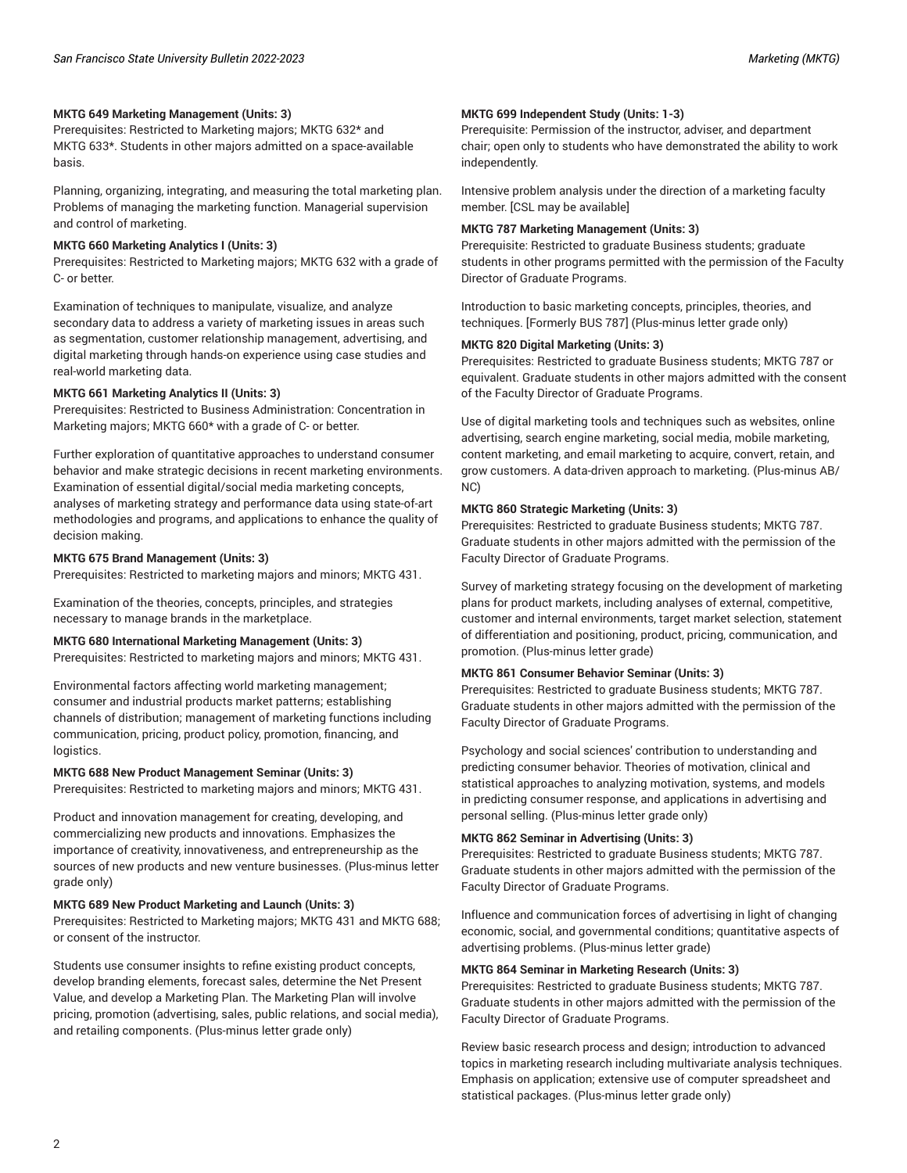## **MKTG 649 Marketing Management (Units: 3)**

Prerequisites: Restricted to Marketing majors; MKTG 632\* and MKTG 633\*. Students in other majors admitted on a space-available basis.

Planning, organizing, integrating, and measuring the total marketing plan. Problems of managing the marketing function. Managerial supervision and control of marketing.

#### **MKTG 660 Marketing Analytics I (Units: 3)**

Prerequisites: Restricted to Marketing majors; MKTG 632 with a grade of C- or better.

Examination of techniques to manipulate, visualize, and analyze secondary data to address a variety of marketing issues in areas such as segmentation, customer relationship management, advertising, and digital marketing through hands-on experience using case studies and real-world marketing data.

#### **MKTG 661 Marketing Analytics II (Units: 3)**

Prerequisites: Restricted to Business Administration: Concentration in Marketing majors; MKTG 660\* with a grade of C- or better.

Further exploration of quantitative approaches to understand consumer behavior and make strategic decisions in recent marketing environments. Examination of essential digital/social media marketing concepts, analyses of marketing strategy and performance data using state-of-art methodologies and programs, and applications to enhance the quality of decision making.

#### **MKTG 675 Brand Management (Units: 3)**

Prerequisites: Restricted to marketing majors and minors; MKTG 431.

Examination of the theories, concepts, principles, and strategies necessary to manage brands in the marketplace.

#### **MKTG 680 International Marketing Management (Units: 3)**

Prerequisites: Restricted to marketing majors and minors; MKTG 431.

Environmental factors affecting world marketing management; consumer and industrial products market patterns; establishing channels of distribution; management of marketing functions including communication, pricing, product policy, promotion, financing, and logistics.

#### **MKTG 688 New Product Management Seminar (Units: 3)**

Prerequisites: Restricted to marketing majors and minors; MKTG 431.

Product and innovation management for creating, developing, and commercializing new products and innovations. Emphasizes the importance of creativity, innovativeness, and entrepreneurship as the sources of new products and new venture businesses. (Plus-minus letter grade only)

#### **MKTG 689 New Product Marketing and Launch (Units: 3)**

Prerequisites: Restricted to Marketing majors; MKTG 431 and MKTG 688; or consent of the instructor.

Students use consumer insights to refine existing product concepts, develop branding elements, forecast sales, determine the Net Present Value, and develop a Marketing Plan. The Marketing Plan will involve pricing, promotion (advertising, sales, public relations, and social media), and retailing components. (Plus-minus letter grade only)

#### **MKTG 699 Independent Study (Units: 1-3)**

Prerequisite: Permission of the instructor, adviser, and department chair; open only to students who have demonstrated the ability to work independently.

Intensive problem analysis under the direction of a marketing faculty member. [CSL may be available]

### **MKTG 787 Marketing Management (Units: 3)**

Prerequisite: Restricted to graduate Business students; graduate students in other programs permitted with the permission of the Faculty Director of Graduate Programs.

Introduction to basic marketing concepts, principles, theories, and techniques. [Formerly BUS 787] (Plus-minus letter grade only)

#### **MKTG 820 Digital Marketing (Units: 3)**

Prerequisites: Restricted to graduate Business students; MKTG 787 or equivalent. Graduate students in other majors admitted with the consent of the Faculty Director of Graduate Programs.

Use of digital marketing tools and techniques such as websites, online advertising, search engine marketing, social media, mobile marketing, content marketing, and email marketing to acquire, convert, retain, and grow customers. A data-driven approach to marketing. (Plus-minus AB/ NC)

#### **MKTG 860 Strategic Marketing (Units: 3)**

Prerequisites: Restricted to graduate Business students; MKTG 787. Graduate students in other majors admitted with the permission of the Faculty Director of Graduate Programs.

Survey of marketing strategy focusing on the development of marketing plans for product markets, including analyses of external, competitive, customer and internal environments, target market selection, statement of differentiation and positioning, product, pricing, communication, and promotion. (Plus-minus letter grade)

#### **MKTG 861 Consumer Behavior Seminar (Units: 3)**

Prerequisites: Restricted to graduate Business students; MKTG 787. Graduate students in other majors admitted with the permission of the Faculty Director of Graduate Programs.

Psychology and social sciences' contribution to understanding and predicting consumer behavior. Theories of motivation, clinical and statistical approaches to analyzing motivation, systems, and models in predicting consumer response, and applications in advertising and personal selling. (Plus-minus letter grade only)

## **MKTG 862 Seminar in Advertising (Units: 3)**

Prerequisites: Restricted to graduate Business students; MKTG 787. Graduate students in other majors admitted with the permission of the Faculty Director of Graduate Programs.

Influence and communication forces of advertising in light of changing economic, social, and governmental conditions; quantitative aspects of advertising problems. (Plus-minus letter grade)

## **MKTG 864 Seminar in Marketing Research (Units: 3)**

Prerequisites: Restricted to graduate Business students; MKTG 787. Graduate students in other majors admitted with the permission of the Faculty Director of Graduate Programs.

Review basic research process and design; introduction to advanced topics in marketing research including multivariate analysis techniques. Emphasis on application; extensive use of computer spreadsheet and statistical packages. (Plus-minus letter grade only)